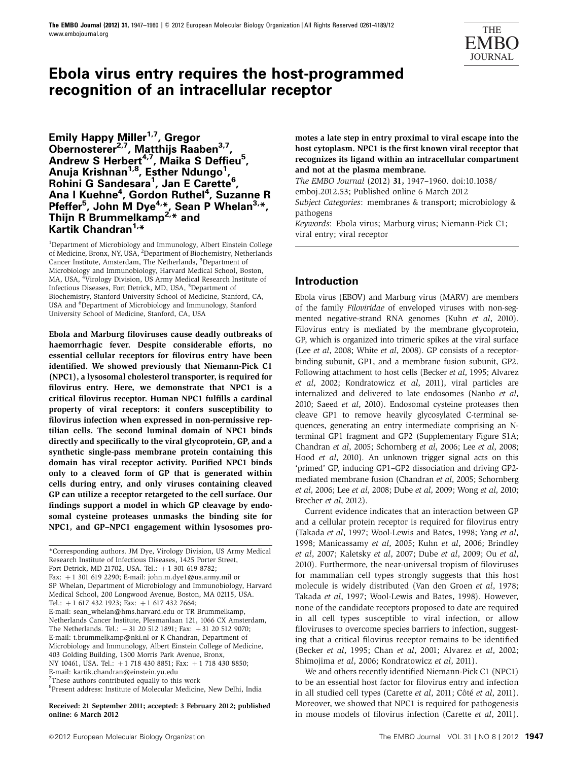

# **Ebola virus entry requires the host-programmed recognition of an intracellular receptor**

**Emily Happy Miller1,7, Gregor Obernosterer2,7, Matthijs Raaben3,7, Andrew S Herbert4,7, Maika S Deffieu5 , Anuja Krishnan1,8, Esther Ndungo1 , Rohini G Sandesara1 , Jan E Carette6 , Ana I Kuehne4 , Gordon Ruthel4 , Suzanne R** Pfeffer<sup>5</sup>, John M Dye<sup>4,\*</sup>, Sean P Whelan<sup>3,\*</sup>, **Thijn R Brummelkamp2,\* and Kartik Chandran1,\***

<sup>1</sup>Department of Microbiology and Immunology, Albert Einstein College of Medicine, Bronx, NY, USA, <sup>2</sup>Department of Biochemistry, Netherlands Cancer Institute, Amsterdam, The Netherlands, <sup>3</sup>Department of Microbiology and Immunobiology, Harvard Medical School, Boston, MA, USA, <sup>4</sup>Virology Division, US Army Medical Research Institute of Infectious Diseases, Fort Detrick, MD, USA, <sup>5</sup>Department of Biochemistry, Stanford University School of Medicine, Stanford, CA, USA and <sup>6</sup>Department of Microbiology and Immunology, Stanford University School of Medicine, Stanford, CA, USA

Ebola and Marburg filoviruses cause deadly outbreaks of haemorrhagic fever. Despite considerable efforts, no essential cellular receptors for filovirus entry have been identified. We showed previously that Niemann-Pick C1 (NPC1), a lysosomal cholesterol transporter, is required for filovirus entry. Here, we demonstrate that NPC1 is a critical filovirus receptor. Human NPC1 fulfills a cardinal property of viral receptors: it confers susceptibility to filovirus infection when expressed in non-permissive reptilian cells. The second luminal domain of NPC1 binds directly and specifically to the viral glycoprotein, GP, and a synthetic single-pass membrane protein containing this domain has viral receptor activity. Purified NPC1 binds only to a cleaved form of GP that is generated within cells during entry, and only viruses containing cleaved GP can utilize a receptor retargeted to the cell surface. Our findings support a model in which GP cleavage by endosomal cysteine proteases unmasks the binding site for NPC1, and GP–NPC1 engagement within lysosomes pro-

\*Corresponding authors. JM Dye, Virology Division, US Army Medical Research Institute of Infectious Diseases, 1425 Porter Street, Fort Detrick, MD 21702, USA. Tel.:  $+1$  301 619 8782; Fax: +1 301 619 2290; E-mail: john.m.dye1@us.army.mil or SP Whelan, Department of Microbiology and Immunobiology, Harvard Medical School, 200 Longwood Avenue, Boston, MA 02115, USA. Tel.:  $+1$  617 432 1923; Fax:  $+1$  617 432 7664;

E-mail: sean\_whelan@hms.harvard.edu or TR Brummelkamp, Netherlands Cancer Institute, Plesmanlaan 121, 1066 CX Amsterdam, The Netherlands. Tel.:  $+31$  20 512 1891; Fax:  $+31$  20 512 9070; E-mail: t.brummelkamp@nki.nl or K Chandran, Department of Microbiology and Immunology, Albert Einstein College of Medicine, 403 Golding Building, 1300 Morris Park Avenue, Bronx, NY 10461, USA. Tel.: +1 718 430 8851; Fax: +1 718 430 8850;

E-mail: kartik.chandran@einstein.yu.edu

<sup>7</sup>These authors contributed equally to this work

8 Present address: Institute of Molecular Medicine, New Delhi, India

Received: 21 September 2011; accepted: 3 February 2012; published online: 6 March 2012

motes a late step in entry proximal to viral escape into the host cytoplasm. NPC1 is the first known viral receptor that recognizes its ligand within an intracellular compartment and not at the plasma membrane.

The EMBO Journal (2012) 31, 1947–1960. doi:10.1038/ emboj.2012.53; Published online 6 March 2012 Subject Categories: membranes & transport; microbiology & pathogens

Keywords: Ebola virus; Marburg virus; Niemann-Pick C1; viral entry; viral receptor

### **Introduction**

Ebola virus (EBOV) and Marburg virus (MARV) are members of the family Filoviridae of enveloped viruses with non-segmented negative-strand RNA genomes (Kuhn et al, 2010). Filovirus entry is mediated by the membrane glycoprotein, GP, which is organized into trimeric spikes at the viral surface (Lee et al, 2008; White et al, 2008). GP consists of a receptorbinding subunit, GP1, and a membrane fusion subunit, GP2. Following attachment to host cells (Becker et al, 1995; Alvarez et al, 2002; Kondratowicz et al, 2011), viral particles are internalized and delivered to late endosomes (Nanbo et al, 2010; Saeed et al, 2010). Endosomal cysteine proteases then cleave GP1 to remove heavily glycosylated C-terminal sequences, generating an entry intermediate comprising an Nterminal GP1 fragment and GP2 (Supplementary Figure S1A; Chandran et al, 2005; Schornberg et al, 2006; Lee et al, 2008; Hood et al, 2010). An unknown trigger signal acts on this 'primed' GP, inducing GP1–GP2 dissociation and driving GP2 mediated membrane fusion (Chandran et al, 2005; Schornberg et al, 2006; Lee et al, 2008; Dube et al, 2009; Wong et al, 2010; Brecher *et al*, 2012).

Current evidence indicates that an interaction between GP and a cellular protein receptor is required for filovirus entry (Takada et al, 1997; Wool-Lewis and Bates, 1998; Yang et al, 1998; Manicassamy et al, 2005; Kuhn et al, 2006; Brindley et al, 2007; Kaletsky et al, 2007; Dube et al, 2009; Ou et al, 2010). Furthermore, the near-universal tropism of filoviruses for mammalian cell types strongly suggests that this host molecule is widely distributed (Van den Groen et al, 1978; Takada et al, 1997; Wool-Lewis and Bates, 1998). However, none of the candidate receptors proposed to date are required in all cell types susceptible to viral infection, or allow filoviruses to overcome species barriers to infection, suggesting that a critical filovirus receptor remains to be identified (Becker et al, 1995; Chan et al, 2001; Alvarez et al, 2002; Shimojima et al, 2006; Kondratowicz et al, 2011).

We and others recently identified Niemann-Pick C1 (NPC1) to be an essential host factor for filovirus entry and infection in all studied cell types (Carette et al, 2011; Côté et al, 2011). Moreover, we showed that NPC1 is required for pathogenesis in mouse models of filovirus infection (Carette et al, 2011).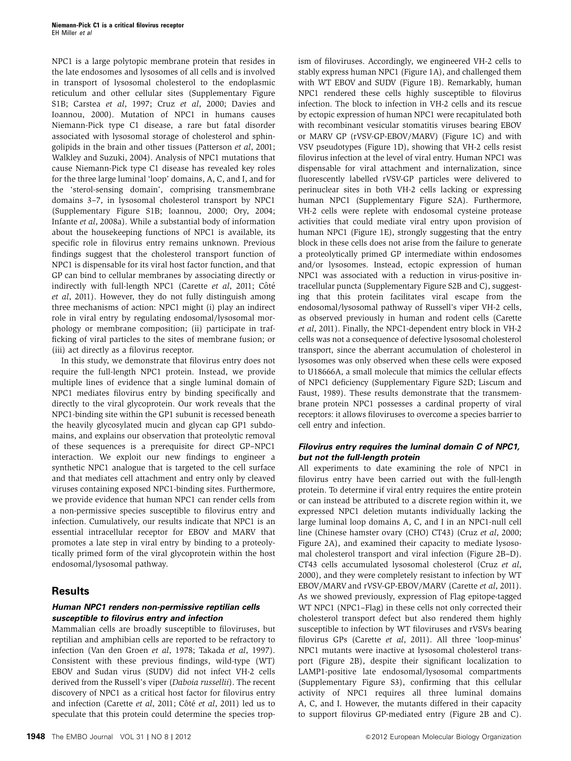NPC1 is a large polytopic membrane protein that resides in the late endosomes and lysosomes of all cells and is involved in transport of lysosomal cholesterol to the endoplasmic reticulum and other cellular sites (Supplementary Figure S1B; Carstea et al, 1997; Cruz et al, 2000; Davies and Ioannou, 2000). Mutation of NPC1 in humans causes Niemann-Pick type C1 disease, a rare but fatal disorder associated with lysosomal storage of cholesterol and sphingolipids in the brain and other tissues (Patterson et al, 2001; Walkley and Suzuki, 2004). Analysis of NPC1 mutations that cause Niemann-Pick type C1 disease has revealed key roles for the three large luminal 'loop' domains, A, C, and I, and for the 'sterol-sensing domain', comprising transmembrane domains 3–7, in lysosomal cholesterol transport by NPC1 (Supplementary Figure S1B; Ioannou, 2000; Ory, 2004; Infante et al, 2008a). While a substantial body of information about the housekeeping functions of NPC1 is available, its specific role in filovirus entry remains unknown. Previous findings suggest that the cholesterol transport function of NPC1 is dispensable for its viral host factor function, and that GP can bind to cellular membranes by associating directly or indirectly with full-length NPC1 (Carette et al, 2011; Côté et al, 2011). However, they do not fully distinguish among three mechanisms of action: NPC1 might (i) play an indirect role in viral entry by regulating endosomal/lysosomal morphology or membrane composition; (ii) participate in trafficking of viral particles to the sites of membrane fusion; or (iii) act directly as a filovirus receptor.

In this study, we demonstrate that filovirus entry does not require the full-length NPC1 protein. Instead, we provide multiple lines of evidence that a single luminal domain of NPC1 mediates filovirus entry by binding specifically and directly to the viral glycoprotein. Our work reveals that the NPC1-binding site within the GP1 subunit is recessed beneath the heavily glycosylated mucin and glycan cap GP1 subdomains, and explains our observation that proteolytic removal of these sequences is a prerequisite for direct GP–NPC1 interaction. We exploit our new findings to engineer a synthetic NPC1 analogue that is targeted to the cell surface and that mediates cell attachment and entry only by cleaved viruses containing exposed NPC1-binding sites. Furthermore, we provide evidence that human NPC1 can render cells from a non-permissive species susceptible to filovirus entry and infection. Cumulatively, our results indicate that NPC1 is an essential intracellular receptor for EBOV and MARV that promotes a late step in viral entry by binding to a proteolytically primed form of the viral glycoprotein within the host endosomal/lysosomal pathway.

# **Results**

### **Human NPC1 renders non-permissive reptilian cells susceptible to filovirus entry and infection**

Mammalian cells are broadly susceptible to filoviruses, but reptilian and amphibian cells are reported to be refractory to infection (Van den Groen et al, 1978; Takada et al, 1997). Consistent with these previous findings, wild-type (WT) EBOV and Sudan virus (SUDV) did not infect VH-2 cells derived from the Russell's viper (Daboia russellii). The recent discovery of NPC1 as a critical host factor for filovirus entry and infection (Carette et al, 2011; Côté et al, 2011) led us to speculate that this protein could determine the species tropism of filoviruses. Accordingly, we engineered VH-2 cells to stably express human NPC1 (Figure 1A), and challenged them with WT EBOV and SUDV (Figure 1B). Remarkably, human NPC1 rendered these cells highly susceptible to filovirus infection. The block to infection in VH-2 cells and its rescue by ectopic expression of human NPC1 were recapitulated both with recombinant vesicular stomatitis viruses bearing EBOV or MARV GP (rVSV-GP-EBOV/MARV) (Figure 1C) and with VSV pseudotypes (Figure 1D), showing that VH-2 cells resist filovirus infection at the level of viral entry. Human NPC1 was dispensable for viral attachment and internalization, since fluorescently labelled rVSV-GP particles were delivered to perinuclear sites in both VH-2 cells lacking or expressing human NPC1 (Supplementary Figure S2A). Furthermore, VH-2 cells were replete with endosomal cysteine protease activities that could mediate viral entry upon provision of human NPC1 (Figure 1E), strongly suggesting that the entry block in these cells does not arise from the failure to generate a proteolytically primed GP intermediate within endosomes and/or lysosomes. Instead, ectopic expression of human NPC1 was associated with a reduction in virus-positive intracellular puncta (Supplementary Figure S2B and C), suggesting that this protein facilitates viral escape from the endosomal/lysosomal pathway of Russell's viper VH-2 cells, as observed previously in human and rodent cells (Carette et al, 2011). Finally, the NPC1-dependent entry block in VH-2 cells was not a consequence of defective lysosomal cholesterol transport, since the aberrant accumulation of cholesterol in lysosomes was only observed when these cells were exposed to U18666A, a small molecule that mimics the cellular effects of NPC1 deficiency (Supplementary Figure S2D; Liscum and Faust, 1989). These results demonstrate that the transmembrane protein NPC1 possesses a cardinal property of viral receptors: it allows filoviruses to overcome a species barrier to cell entry and infection.

### **Filovirus entry requires the luminal domain C of NPC1, but not the full-length protein**

All experiments to date examining the role of NPC1 in filovirus entry have been carried out with the full-length protein. To determine if viral entry requires the entire protein or can instead be attributed to a discrete region within it, we expressed NPC1 deletion mutants individually lacking the large luminal loop domains A, C, and I in an NPC1-null cell line (Chinese hamster ovary (CHO) CT43) (Cruz et al, 2000; Figure 2A), and examined their capacity to mediate lysosomal cholesterol transport and viral infection (Figure 2B–D). CT43 cells accumulated lysosomal cholesterol (Cruz et al, 2000), and they were completely resistant to infection by WT EBOV/MARV and rVSV-GP-EBOV/MARV (Carette et al, 2011). As we showed previously, expression of Flag epitope-tagged WT NPC1 (NPC1–Flag) in these cells not only corrected their cholesterol transport defect but also rendered them highly susceptible to infection by WT filoviruses and rVSVs bearing filovirus GPs (Carette et al, 2011). All three 'loop-minus' NPC1 mutants were inactive at lysosomal cholesterol transport (Figure 2B), despite their significant localization to LAMP1-positive late endosomal/lysosomal compartments (Supplementary Figure S3), confirming that this cellular activity of NPC1 requires all three luminal domains A, C, and I. However, the mutants differed in their capacity to support filovirus GP-mediated entry (Figure 2B and C).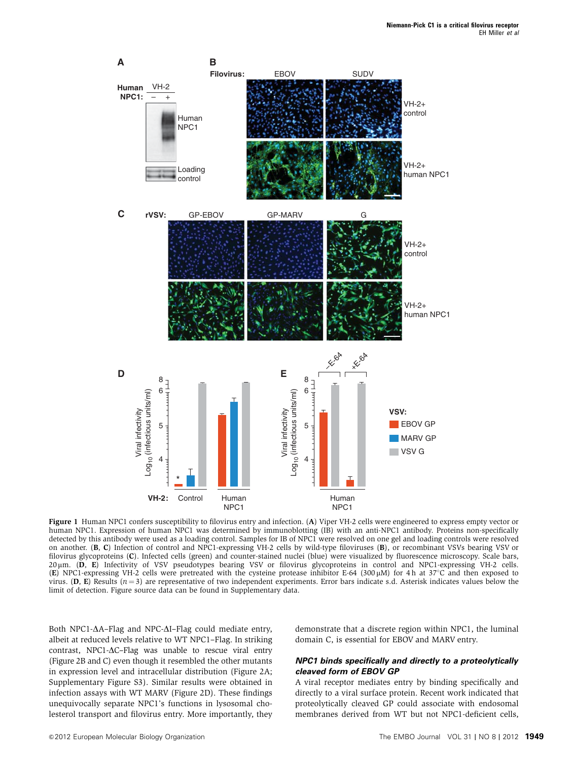

Figure 1 Human NPC1 confers susceptibility to filovirus entry and infection. (A) Viper VH-2 cells were engineered to express empty vector or human NPC1. Expression of human NPC1 was determined by immunoblotting (IB) with an anti-NPC1 antibody. Proteins non-specifically detected by this antibody were used as a loading control. Samples for IB of NPC1 were resolved on one gel and loading controls were resolved on another. (B, C) Infection of control and NPC1-expressing VH-2 cells by wild-type filoviruses (B), or recombinant VSVs bearing VSV or filovirus glycoproteins (C). Infected cells (green) and counter-stained nuclei (blue) were visualized by fluorescence microscopy. Scale bars, 20 µm. (D, E) Infectivity of VSV pseudotypes bearing VSV or filovirus glycoproteins in control and NPC1-expressing VH-2 cells. (E) NPC1-expressing VH-2 cells were pretreated with the cysteine protease inhibitor E-64 (300  $\mu$ M) for 4 h at 37°C and then exposed to virus. (D, E) Results  $(n=3)$  are representative of two independent experiments. Error bars indicate s.d. Asterisk indicates values below the limit of detection. Figure source data can be found in Supplementary data.

Both NPC1- $\Delta$ A–Flag and NPC- $\Delta$ I–Flag could mediate entry, albeit at reduced levels relative to WT NPC1–Flag. In striking contrast, NPC1- $\Delta$ C-Flag was unable to rescue viral entry (Figure 2B and C) even though it resembled the other mutants in expression level and intracellular distribution (Figure 2A; Supplementary Figure S3). Similar results were obtained in infection assays with WT MARV (Figure 2D). These findings unequivocally separate NPC1's functions in lysosomal cholesterol transport and filovirus entry. More importantly, they demonstrate that a discrete region within NPC1, the luminal domain C, is essential for EBOV and MARV entry.

#### **NPC1 binds specifically and directly to a proteolytically cleaved form of EBOV GP**

A viral receptor mediates entry by binding specifically and directly to a viral surface protein. Recent work indicated that proteolytically cleaved GP could associate with endosomal membranes derived from WT but not NPC1-deficient cells,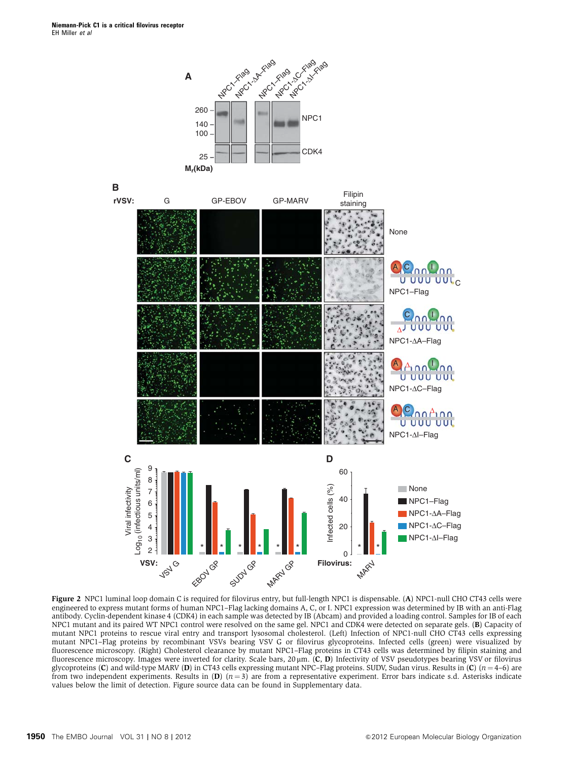



Figure 2 NPC1 luminal loop domain C is required for filovirus entry, but full-length NPC1 is dispensable. (A) NPC1-null CHO CT43 cells were engineered to express mutant forms of human NPC1–Flag lacking domains A, C, or I. NPC1 expression was determined by IB with an anti-Flag antibody. Cyclin-dependent kinase 4 (CDK4) in each sample was detected by IB (Abcam) and provided a loading control. Samples for IB of each NPC1 mutant and its paired WT NPC1 control were resolved on the same gel. NPC1 and CDK4 were detected on separate gels. (B) Capacity of mutant NPC1 proteins to rescue viral entry and transport lysosomal cholesterol. (Left) Infection of NPC1-null CHO CT43 cells expressing mutant NPC1–Flag proteins by recombinant VSVs bearing VSV G or filovirus glycoproteins. Infected cells (green) were visualized by fluorescence microscopy. (Right) Cholesterol clearance by mutant NPC1–Flag proteins in CT43 cells was determined by filipin staining and fluorescence microscopy. Images were inverted for clarity. Scale bars,  $20 \mu m$ . (C, D) Infectivity of VSV pseudotypes bearing VSV or filovirus glycoproteins (C) and wild-type MARV (D) in CT43 cells expressing mutant NPC–Flag proteins. SUDV, Sudan virus. Results in (C)  $(n=4-6)$  are from two independent experiments. Results in  $(D)$   $(n=3)$  are from a representative experiment. Error bars indicate s.d. Asterisks indicate values below the limit of detection. Figure source data can be found in Supplementary data.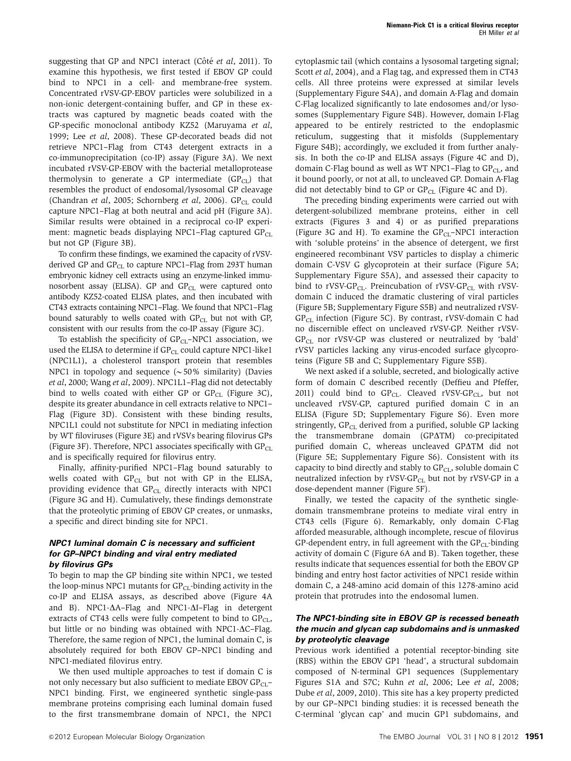suggesting that GP and NPC1 interact (Côté et al, 2011). To examine this hypothesis, we first tested if EBOV GP could bind to NPC1 in a cell- and membrane-free system. Concentrated rVSV-GP-EBOV particles were solubilized in a non-ionic detergent-containing buffer, and GP in these extracts was captured by magnetic beads coated with the GP-specific monoclonal antibody KZ52 (Maruyama et al, 1999; Lee et al, 2008). These GP-decorated beads did not retrieve NPC1–Flag from CT43 detergent extracts in a co-immunoprecipitation (co-IP) assay (Figure 3A). We next incubated rVSV-GP-EBOV with the bacterial metalloprotease thermolysin to generate a GP intermediate  $(GP_{CL})$  that resembles the product of endosomal/lysosomal GP cleavage (Chandran et al, 2005; Schornberg et al, 2006).  $\text{GP}_{\text{CL}}$  could capture NPC1–Flag at both neutral and acid pH (Figure 3A). Similar results were obtained in a reciprocal co-IP experiment: magnetic beads displaying NPC1-Flag captured  $GP_{CL}$ but not GP (Figure 3B).

To confirm these findings, we examined the capacity of rVSVderived GP and  $\text{GP}_{\text{CL}}$  to capture NPC1-Flag from 293T human embryonic kidney cell extracts using an enzyme-linked immunosorbent assay (ELISA). GP and  $GP_{CL}$  were captured onto antibody KZ52-coated ELISA plates, and then incubated with CT43 extracts containing NPC1–Flag. We found that NPC1–Flag bound saturably to wells coated with  $GP_{CL}$  but not with  $GP$ , consistent with our results from the co-IP assay (Figure 3C).

To establish the specificity of  $GP<sub>CL</sub>–NPC1$  association, we used the ELISA to determine if  $GP<sub>CL</sub>$  could capture NPC1-like1 (NPC1L1), a cholesterol transport protein that resembles NPC1 in topology and sequence  $({\sim}50\%$  similarity) (Davies et al, 2000; Wang et al, 2009). NPC1L1–Flag did not detectably bind to wells coated with either GP or  $\text{GP}_{\text{CL}}$  (Figure 3C), despite its greater abundance in cell extracts relative to NPC1– Flag (Figure 3D). Consistent with these binding results, NPC1L1 could not substitute for NPC1 in mediating infection by WT filoviruses (Figure 3E) and rVSVs bearing filovirus GPs (Figure 3F). Therefore, NPC1 associates specifically with  $GP<sub>CI</sub>$ and is specifically required for filovirus entry.

Finally, affinity-purified NPC1–Flag bound saturably to wells coated with  $GP_{CL}$  but not with GP in the ELISA, providing evidence that  $GP_{CL}$  directly interacts with NPC1 (Figure 3G and H). Cumulatively, these findings demonstrate that the proteolytic priming of EBOV GP creates, or unmasks, a specific and direct binding site for NPC1.

#### **NPC1 luminal domain C is necessary and sufficient for GP–NPC1 binding and viral entry mediated by filovirus GPs**

To begin to map the GP binding site within NPC1, we tested the loop-minus NPC1 mutants for  $\text{GP}_{CL}$ -binding activity in the co-IP and ELISA assays, as described above (Figure 4A and B). NPC1- $\Delta A$ –Flag and NPC1- $\Delta I$ –Flag in detergent extracts of CT43 cells were fully competent to bind to  $GP<sub>CL</sub>$ , but little or no binding was obtained with NPC1- $\Delta C$ –Flag. Therefore, the same region of NPC1, the luminal domain C, is absolutely required for both EBOV GP–NPC1 binding and NPC1-mediated filovirus entry.

We then used multiple approaches to test if domain C is not only necessary but also sufficient to mediate EBOV  $\text{GP}_{CL}$ – NPC1 binding. First, we engineered synthetic single-pass membrane proteins comprising each luminal domain fused to the first transmembrane domain of NPC1, the NPC1

cytoplasmic tail (which contains a lysosomal targeting signal; Scott et al, 2004), and a Flag tag, and expressed them in CT43 cells. All three proteins were expressed at similar levels (Supplementary Figure S4A), and domain A-Flag and domain C-Flag localized significantly to late endosomes and/or lysosomes (Supplementary Figure S4B). However, domain I-Flag appeared to be entirely restricted to the endoplasmic reticulum, suggesting that it misfolds (Supplementary Figure S4B); accordingly, we excluded it from further analysis. In both the co-IP and ELISA assays (Figure 4C and D), domain C-Flag bound as well as WT NPC1–Flag to  $GP<sub>CL</sub>$ , and it bound poorly, or not at all, to uncleaved GP. Domain A-Flag did not detectably bind to GP or  $\text{GP}_{\text{CL}}$  (Figure 4C and D).

The preceding binding experiments were carried out with detergent-solubilized membrane proteins, either in cell extracts (Figures 3 and 4) or as purified preparations (Figure 3G and H). To examine the  $GP_{CL}-NPC1$  interaction with 'soluble proteins' in the absence of detergent, we first engineered recombinant VSV particles to display a chimeric domain C-VSV G glycoprotein at their surface (Figure 5A; Supplementary Figure S5A), and assessed their capacity to bind to rVSV-GP<sub>CL</sub>. Preincubation of rVSV-GP<sub>CL</sub> with rVSVdomain C induced the dramatic clustering of viral particles (Figure 5B; Supplementary Figure S5B) and neutralized rVSV- $GP_{CL}$  infection (Figure 5C). By contrast, rVSV-domain C had no discernible effect on uncleaved rVSV-GP. Neither rVSV- $GP_{CL}$  nor rVSV-GP was clustered or neutralized by 'bald' rVSV particles lacking any virus-encoded surface glycoproteins (Figure 5B and C; Supplementary Figure S5B).

We next asked if a soluble, secreted, and biologically active form of domain C described recently (Deffieu and Pfeffer, 2011) could bind to  $GP_{CL}$ . Cleaved rVSV-GP<sub>CL</sub>, but not uncleaved rVSV-GP, captured purified domain C in an ELISA (Figure 5D; Supplementary Figure S6). Even more stringently, GP<sub>CL</sub> derived from a purified, soluble GP lacking the transmembrane domain  $(GP\Delta TM)$  co-precipitated purified domain C, whereas uncleaved GPATM did not (Figure 5E; Supplementary Figure S6). Consistent with its capacity to bind directly and stably to  $\text{GP}_\text{CL}$ , soluble domain C neutralized infection by rVSV-GP<sub>CL</sub> but not by rVSV-GP in a dose-dependent manner (Figure 5F).

Finally, we tested the capacity of the synthetic singledomain transmembrane proteins to mediate viral entry in CT43 cells (Figure 6). Remarkably, only domain C-Flag afforded measurable, although incomplete, rescue of filovirus GP-dependent entry, in full agreement with the  $GP<sub>CL</sub>$ -binding activity of domain C (Figure 6A and B). Taken together, these results indicate that sequences essential for both the EBOV GP binding and entry host factor activities of NPC1 reside within domain C, a 248-amino acid domain of this 1278-amino acid protein that protrudes into the endosomal lumen.

### **The NPC1-binding site in EBOV GP is recessed beneath the mucin and glycan cap subdomains and is unmasked by proteolytic cleavage**

Previous work identified a potential receptor-binding site (RBS) within the EBOV GP1 'head', a structural subdomain composed of N-terminal GP1 sequences (Supplementary Figures S1A and S7C; Kuhn et al, 2006; Lee et al, 2008; Dube et al, 2009, 2010). This site has a key property predicted by our GP–NPC1 binding studies: it is recessed beneath the C-terminal 'glycan cap' and mucin GP1 subdomains, and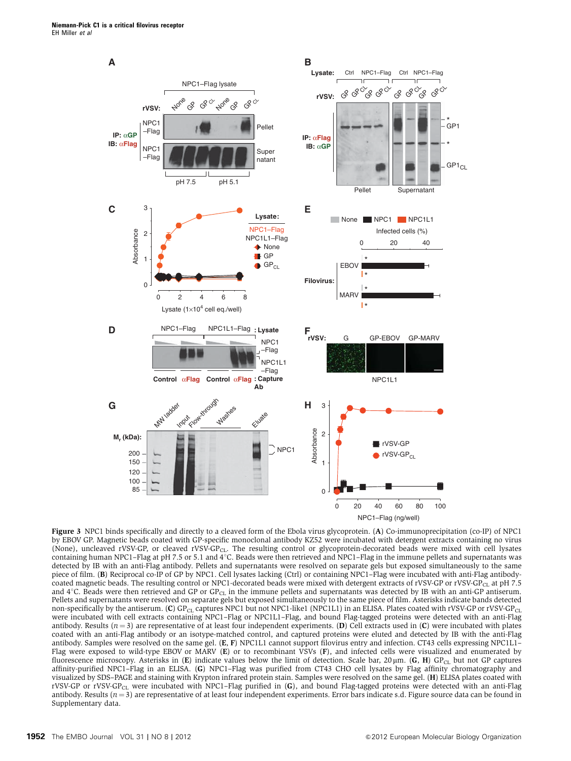

Figure 3 NPC1 binds specifically and directly to a cleaved form of the Ebola virus glycoprotein. (A) Co-immunoprecipitation (co-IP) of NPC1 by EBOV GP. Magnetic beads coated with GP-specific monoclonal antibody KZ52 were incubated with detergent extracts containing no virus (None), uncleaved rVSV-GP, or cleaved rVSV-GP<sub>CL</sub>. The resulting control or glycoprotein-decorated beads were mixed with cell lysates containing human NPC1–Flag at pH 7.5 or 5.1 and 4°C. Beads were then retrieved and NPC1–Flag in the immune pellets and supernatants was detected by IB with an anti-Flag antibody. Pellets and supernatants were resolved on separate gels but exposed simultaneously to the same piece of film. (B) Reciprocal co-IP of GP by NPC1. Cell lysates lacking (Ctrl) or containing NPC1–Flag were incubated with anti-Flag antibodycoated magnetic beads. The resulting control or NPC1-decorated beads were mixed with detergent extracts of rVSV-GP or rVSV-GP<sub>CL</sub> at pH 7.5 and 4°C. Beads were then retrieved and GP or GP<sub>CL</sub> in the immune pellets and supernatants was detected by IB with an anti-GP antiserum. Pellets and supernatants were resolved on separate gels but exposed simultaneously to the same piece of film. Asterisks indicate bands detected non-specifically by the antiserum. (C) GP<sub>CL</sub> captures NPC1 but not NPC1-like1 (NPC1L1) in an ELISA. Plates coated with rVSV-GP or rVSV-GP<sub>CL</sub> were incubated with cell extracts containing NPC1–Flag or NPC1L1–Flag, and bound Flag-tagged proteins were detected with an anti-Flag antibody. Results ( $n = 3$ ) are representative of at least four independent experiments. (D) Cell extracts used in (C) were incubated with plates coated with an anti-Flag antibody or an isotype-matched control, and captured proteins were eluted and detected by IB with the anti-Flag antibody. Samples were resolved on the same gel. (E, F) NPC1L1 cannot support filovirus entry and infection. CT43 cells expressing NPC1L1– Flag were exposed to wild-type EBOV or MARV (E) or to recombinant VSVs (F), and infected cells were visualized and enumerated by fluorescence microscopy. Asterisks in (E) indicate values below the limit of detection. Scale bar,  $20 \mu m$ . (G, H) GP<sub>CL</sub> but not GP captures affinity-purified NPC1–Flag in an ELISA. (G) NPC1–Flag was purified from CT43 CHO cell lysates by Flag affinity chromatography and visualized by SDS–PAGE and staining with Krypton infrared protein stain. Samples were resolved on the same gel. (H) ELISA plates coated with rVSV-GP or rVSV-GP<sub>CL</sub> were incubated with NPC1-Flag purified in (G), and bound Flag-tagged proteins were detected with an anti-Flag antibody. Results  $(n = 3)$  are representative of at least four independent experiments. Error bars indicate s.d. Figure source data can be found in Supplementary data.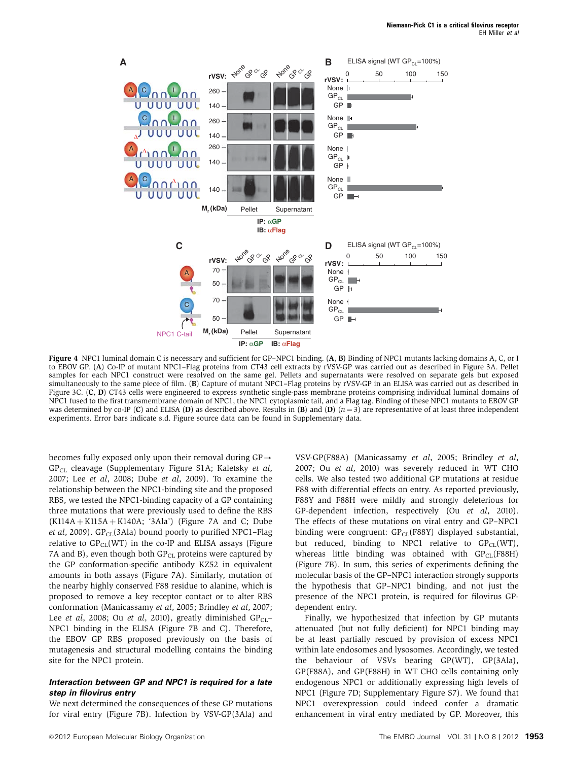

Figure 4 NPC1 luminal domain C is necessary and sufficient for GP–NPC1 binding. (A, B) Binding of NPC1 mutants lacking domains A, C, or I to EBOV GP. (A) Co-IP of mutant NPC1–Flag proteins from CT43 cell extracts by rVSV-GP was carried out as described in Figure 3A. Pellet samples for each NPC1 construct were resolved on the same gel. Pellets and supernatants were resolved on separate gels but exposed simultaneously to the same piece of film. (B) Capture of mutant NPC1–Flag proteins by rVSV-GP in an ELISA was carried out as described in Figure 3C. (C, D) CT43 cells were engineered to express synthetic single-pass membrane proteins comprising individual luminal domains of NPC1 fused to the first transmembrane domain of NPC1, the NPC1 cytoplasmic tail, and a Flag tag. Binding of these NPC1 mutants to EBOV GP was determined by co-IP (C) and ELISA (D) as described above. Results in (B) and (D)  $(n=3)$  are representative of at least three independent experiments. Error bars indicate s.d. Figure source data can be found in Supplementary data.

becomes fully exposed only upon their removal during  $GP \rightarrow$ GP<sub>CL</sub> cleavage (Supplementary Figure S1A; Kaletsky et al, 2007; Lee et al, 2008; Dube et al, 2009). To examine the relationship between the NPC1-binding site and the proposed RBS, we tested the NPC1-binding capacity of a GP containing three mutations that were previously used to define the RBS  $(K114A + K115A + K140A; '3Ala')$  (Figure 7A and C; Dube et al, 2009).  $GP_{CL}(3A|a)$  bound poorly to purified NPC1–Flag relative to  $GP_{CL}(WT)$  in the co-IP and ELISA assays (Figure 7A and B), even though both  $GP_{CL}$  proteins were captured by the GP conformation-specific antibody KZ52 in equivalent amounts in both assays (Figure 7A). Similarly, mutation of the nearby highly conserved F88 residue to alanine, which is proposed to remove a key receptor contact or to alter RBS conformation (Manicassamy et al, 2005; Brindley et al, 2007; Lee *et al*, 2008; Ou *et al*, 2010), greatly diminished  $\text{GP}_{CL}$ NPC1 binding in the ELISA (Figure 7B and C). Therefore, the EBOV GP RBS proposed previously on the basis of mutagenesis and structural modelling contains the binding site for the NPC1 protein.

#### **Interaction between GP and NPC1 is required for a late step in filovirus entry**

We next determined the consequences of these GP mutations for viral entry (Figure 7B). Infection by VSV-GP(3Ala) and VSV-GP(F88A) (Manicassamy et al, 2005; Brindley et al, 2007; Ou et al, 2010) was severely reduced in WT CHO cells. We also tested two additional GP mutations at residue F88 with differential effects on entry. As reported previously, F88Y and F88H were mildly and strongly deleterious for GP-dependent infection, respectively (Ou et al, 2010). The effects of these mutations on viral entry and GP–NPC1 binding were congruent:  $GP_{CL}(F88Y)$  displayed substantial, but reduced, binding to NPC1 relative to  $\text{GP}_{\text{CL}}(\text{WT})$ , whereas little binding was obtained with  $\text{GP}_{\text{CL}}(\text{F88H})$ (Figure 7B). In sum, this series of experiments defining the molecular basis of the GP–NPC1 interaction strongly supports the hypothesis that GP–NPC1 binding, and not just the presence of the NPC1 protein, is required for filovirus GPdependent entry.

Finally, we hypothesized that infection by GP mutants attenuated (but not fully deficient) for NPC1 binding may be at least partially rescued by provision of excess NPC1 within late endosomes and lysosomes. Accordingly, we tested the behaviour of VSVs bearing GP(WT), GP(3Ala), GP(F88A), and GP(F88H) in WT CHO cells containing only endogenous NPC1 or additionally expressing high levels of NPC1 (Figure 7D; Supplementary Figure S7). We found that NPC1 overexpression could indeed confer a dramatic enhancement in viral entry mediated by GP. Moreover, this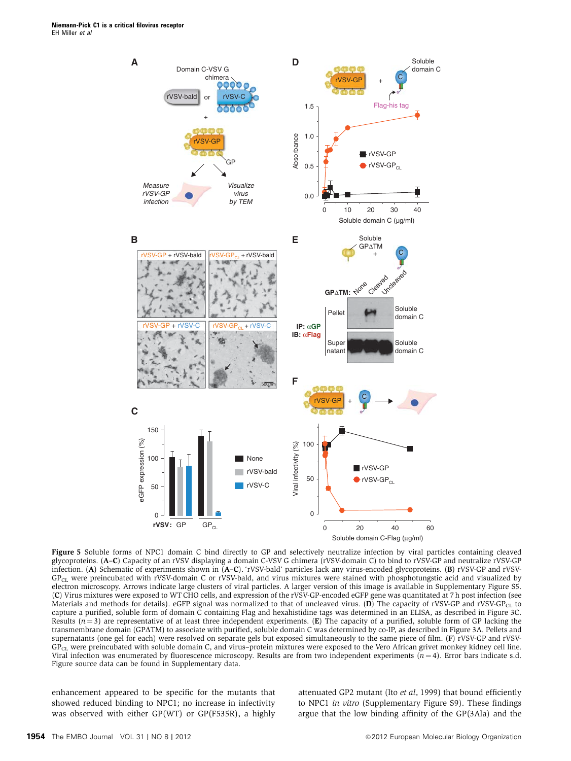

Figure 5 Soluble forms of NPC1 domain C bind directly to GP and selectively neutralize infection by viral particles containing cleaved glycoproteins. (A–C) Capacity of an rVSV displaying a domain C-VSV G chimera (rVSV-domain C) to bind to rVSV-GP and neutralize rVSV-GP infection. (A) Schematic of experiments shown in (A–C). 'rVSV-bald' particles lack any virus-encoded glycoproteins. (B) rVSV-GP and rVSV-GP<sub>CL</sub> were preincubated with rVSV-domain C or rVSV-bald, and virus mixtures were stained with phosphotungstic acid and visualized by electron microscopy. Arrows indicate large clusters of viral particles. A larger version of this image is available in Supplementary Figure S5. (C) Virus mixtures were exposed to WT CHO cells, and expression of the rVSV-GP-encoded eGFP gene was quantitated at 7 h post infection (see Materials and methods for details). eGFP signal was normalized to that of uncleaved virus. (D) The capacity of rVSV-GP and rVSV-GP<sub>CL</sub> to capture a purified, soluble form of domain C containing Flag and hexahistidine tags was determined in an ELISA, as described in Figure 3C. Results  $(n = 3)$  are representative of at least three independent experiments. (E) The capacity of a purified, soluble form of GP lacking the transmembrane domain (GP $\Delta$ TM) to associate with purified, soluble domain C was determined by co-IP, as described in Figure 3A. Pellets and supernatants (one gel for each) were resolved on separate gels but exposed simultaneously to the same piece of film. (F) rVSV-GP and rVSV-GPCL were preincubated with soluble domain C, and virus–protein mixtures were exposed to the Vero African grivet monkey kidney cell line. Viral infection was enumerated by fluorescence microscopy. Results are from two independent experiments  $(n=4)$ . Error bars indicate s.d. Figure source data can be found in Supplementary data.

enhancement appeared to be specific for the mutants that showed reduced binding to NPC1; no increase in infectivity was observed with either GP(WT) or GP(F535R), a highly attenuated GP2 mutant (Ito et al, 1999) that bound efficiently to NPC1 in vitro (Supplementary Figure S9). These findings argue that the low binding affinity of the GP(3Ala) and the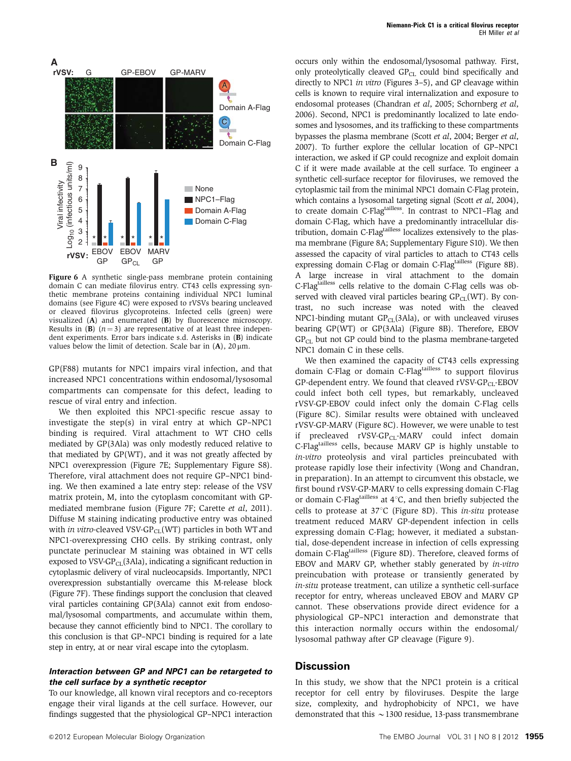

Figure 6 A synthetic single-pass membrane protein containing domain C can mediate filovirus entry. CT43 cells expressing synthetic membrane proteins containing individual NPC1 luminal domains (see Figure 4C) were exposed to rVSVs bearing uncleaved or cleaved filovirus glycoproteins. Infected cells (green) were visualized (A) and enumerated (B) by fluorescence microscopy. Results in (B)  $(n=3)$  are representative of at least three independent experiments. Error bars indicate s.d. Asterisks in (B) indicate values below the limit of detection. Scale bar in  $(A)$ , 20  $\mu$ m.

GP(F88) mutants for NPC1 impairs viral infection, and that increased NPC1 concentrations within endosomal/lysosomal compartments can compensate for this defect, leading to rescue of viral entry and infection.

We then exploited this NPC1-specific rescue assay to investigate the step(s) in viral entry at which GP–NPC1 binding is required. Viral attachment to WT CHO cells mediated by GP(3Ala) was only modestly reduced relative to that mediated by GP(WT), and it was not greatly affected by NPC1 overexpression (Figure 7E; Supplementary Figure S8). Therefore, viral attachment does not require GP–NPC1 binding. We then examined a late entry step: release of the VSV matrix protein, M, into the cytoplasm concomitant with GPmediated membrane fusion (Figure 7F; Carette et al, 2011). Diffuse M staining indicating productive entry was obtained with in vitro-cleaved VSV-GP $_{CL}$ (WT) particles in both WT and NPC1-overexpressing CHO cells. By striking contrast, only punctate perinuclear M staining was obtained in WT cells exposed to VSV-GP $_{CL}(3Ala)$ , indicating a significant reduction in cytoplasmic delivery of viral nucleocapsids. Importantly, NPC1 overexpression substantially overcame this M-release block (Figure 7F). These findings support the conclusion that cleaved viral particles containing GP(3Ala) cannot exit from endosomal/lysosomal compartments, and accumulate within them, because they cannot efficiently bind to NPC1. The corollary to this conclusion is that GP–NPC1 binding is required for a late step in entry, at or near viral escape into the cytoplasm.

#### **Interaction between GP and NPC1 can be retargeted to the cell surface by a synthetic receptor**

To our knowledge, all known viral receptors and co-receptors engage their viral ligands at the cell surface. However, our findings suggested that the physiological GP–NPC1 interaction occurs only within the endosomal/lysosomal pathway. First, only proteolytically cleaved  $GP<sub>CL</sub>$  could bind specifically and directly to NPC1 in vitro (Figures 3–5), and GP cleavage within cells is known to require viral internalization and exposure to endosomal proteases (Chandran et al, 2005; Schornberg et al, 2006). Second, NPC1 is predominantly localized to late endosomes and lysosomes, and its trafficking to these compartments bypasses the plasma membrane (Scott et al, 2004; Berger et al, 2007). To further explore the cellular location of GP–NPC1 interaction, we asked if GP could recognize and exploit domain C if it were made available at the cell surface. To engineer a synthetic cell-surface receptor for filoviruses, we removed the cytoplasmic tail from the minimal NPC1 domain C-Flag protein, which contains a lysosomal targeting signal (Scott et al, 2004), to create domain C-Flagtailless. In contrast to NPC1–Flag and domain C-Flag, which have a predominantly intracellular distribution, domain C-Flag<sup>tailless</sup> localizes extensively to the plasma membrane (Figure 8A; Supplementary Figure S10). We then assessed the capacity of viral particles to attach to CT43 cells expressing domain C-Flag or domain C-Flagtailless (Figure 8B). A large increase in viral attachment to the domain C-Flagtailless cells relative to the domain C-Flag cells was observed with cleaved viral particles bearing  $GP_{CL}(WT)$ . By contrast, no such increase was noted with the cleaved NPC1-binding mutant  $GP_{CL}(3Ala)$ , or with uncleaved viruses bearing GP(WT) or GP(3Ala) (Figure 8B). Therefore, EBOV  $GP<sub>CL</sub>$  but not GP could bind to the plasma membrane-targeted NPC1 domain C in these cells.

We then examined the capacity of CT43 cells expressing domain C-Flag or domain C-Flagtailless to support filovirus GP-dependent entry. We found that cleaved  $rVSV-GP_{CL}-EBOV$ could infect both cell types, but remarkably, uncleaved rVSV-GP-EBOV could infect only the domain C-Flag cells (Figure 8C). Similar results were obtained with uncleaved rVSV-GP-MARV (Figure 8C). However, we were unable to test if precleaved rVSV-GP<sub>CL</sub>-MARV could infect domain C-Flagtailless cells, because MARV GP is highly unstable to in-vitro proteolysis and viral particles preincubated with protease rapidly lose their infectivity (Wong and Chandran, in preparation). In an attempt to circumvent this obstacle, we first bound rVSV-GP-MARV to cells expressing domain C-Flag or domain C-Flagtailless at  $4^{\circ}$ C, and then briefly subjected the cells to protease at  $37^{\circ}$ C (Figure 8D). This in-situ protease treatment reduced MARV GP-dependent infection in cells expressing domain C-Flag; however, it mediated a substantial, dose-dependent increase in infection of cells expressing domain C-Flagtailless (Figure 8D). Therefore, cleaved forms of EBOV and MARV GP, whether stably generated by in-vitro preincubation with protease or transiently generated by in-situ protease treatment, can utilize a synthetic cell-surface receptor for entry, whereas uncleaved EBOV and MARV GP cannot. These observations provide direct evidence for a physiological GP–NPC1 interaction and demonstrate that this interaction normally occurs within the endosomal/ lysosomal pathway after GP cleavage (Figure 9).

### **Discussion**

In this study, we show that the NPC1 protein is a critical receptor for cell entry by filoviruses. Despite the large size, complexity, and hydrophobicity of NPC1, we have demonstrated that this  $\sim$  1300 residue, 13-pass transmembrane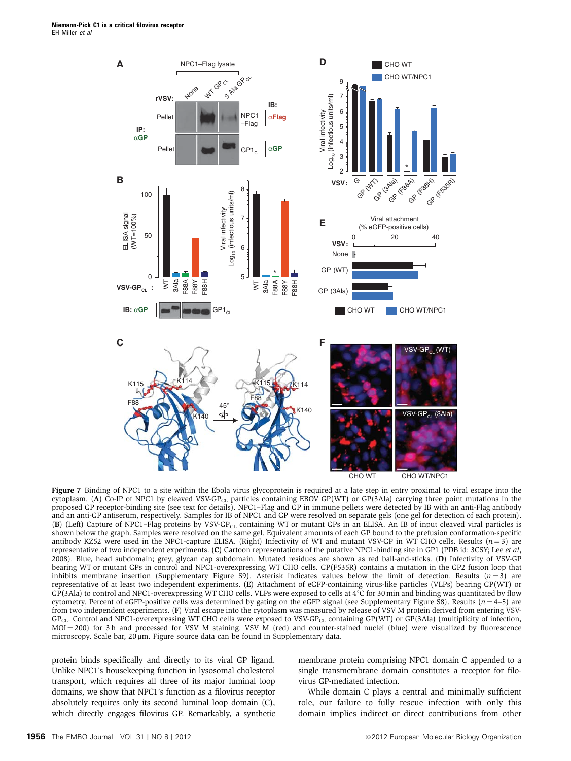

Figure 7 Binding of NPC1 to a site within the Ebola virus glycoprotein is required at a late step in entry proximal to viral escape into the cytoplasm. (A) Co-IP of NPC1 by cleaved VSV-GP<sub>CL</sub> particles containing EBOV GP(WT) or GP(3Ala) carrying three point mutations in the proposed GP receptor-binding site (see text for details). NPC1–Flag and GP in immune pellets were detected by IB with an anti-Flag antibody and an anti-GP antiserum, respectively. Samples for IB of NPC1 and GP were resolved on separate gels (one gel for detection of each protein). (B) (Left) Capture of NPC1-Flag proteins by VSV-GP<sub>CL</sub> containing WT or mutant GPs in an ELISA. An IB of input cleaved viral particles is shown below the graph. Samples were resolved on the same gel. Equivalent amounts of each GP bound to the prefusion conformation-specific antibody KZ52 were used in the NPC1-capture ELISA. (Right) Infectivity of WT and mutant VSV-GP in WT CHO cells. Results  $(n=3)$  are representative of two independent experiments. (C) Cartoon representations of the putative NPC1-binding site in GP1 (PDB id: 3CSY; Lee et al, 2008). Blue, head subdomain; grey, glycan cap subdomain. Mutated residues are shown as red ball-and-sticks. (D) Infectivity of VSV-GP bearing WT or mutant GPs in control and NPC1-overexpressing WT CHO cells. GP(F535R) contains a mutation in the GP2 fusion loop that inhibits membrane insertion (Supplementary Figure S9). Asterisk indicates values below the limit of detection. Results  $(n=3)$  are representative of at least two independent experiments. (E) Attachment of eGFP-containing virus-like particles (VLPs) bearing GP(WT) or  $GP(3Ala)$  to control and NPC1-overexpressing WT CHO cells. VLPs were exposed to cells at  $4^{\circ}$ C for 30 min and binding was quantitated by flow cytometry. Percent of eGFP-positive cells was determined by gating on the eGFP signal (see Supplementary Figure S8). Results ( $n=4-5$ ) are from two independent experiments. (F) Viral escape into the cytoplasm was measured by release of VSV M protein derived from entering VSV-GP<sub>CL</sub>. Control and NPC1-overexpressing WT CHO cells were exposed to VSV-GP<sub>CL</sub> containing GP(WT) or GP(3Ala) (multiplicity of infection,  $MOL = 200$ ) for 3 h and processed for VSV M staining. VSV M (red) and counter-stained nuclei (blue) were visualized by fluorescence microscopy. Scale bar, 20 µm. Figure source data can be found in Supplementary data.

protein binds specifically and directly to its viral GP ligand. Unlike NPC1's housekeeping function in lysosomal cholesterol transport, which requires all three of its major luminal loop domains, we show that NPC1's function as a filovirus receptor absolutely requires only its second luminal loop domain (C), which directly engages filovirus GP. Remarkably, a synthetic membrane protein comprising NPC1 domain C appended to a single transmembrane domain constitutes a receptor for filovirus GP-mediated infection.

While domain C plays a central and minimally sufficient role, our failure to fully rescue infection with only this domain implies indirect or direct contributions from other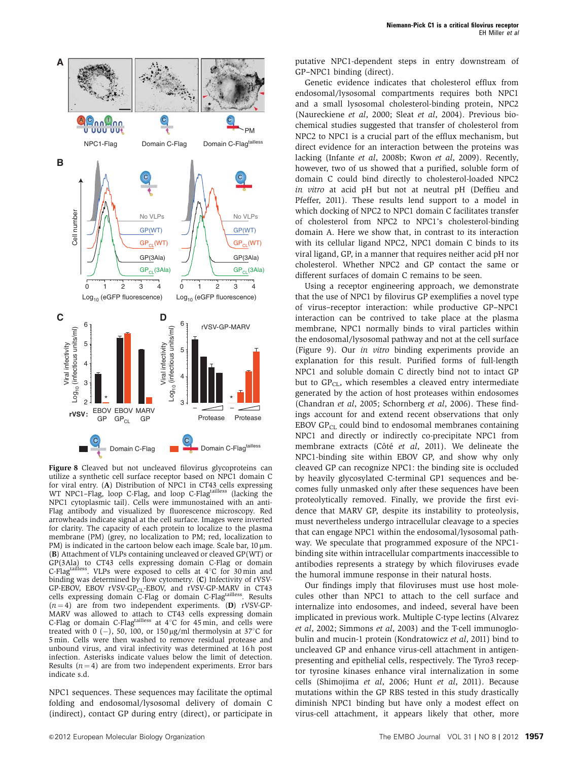

Figure 8 Cleaved but not uncleaved filovirus glycoproteins can utilize a synthetic cell surface receptor based on NPC1 domain C for viral entry. (A) Distribution of NPC1 in CT43 cells expressing WT NPC1–Flag, loop C-Flag, and loop C-Flag<sup>tailless</sup> (lacking the NPC1 cytoplasmic tail). Cells were immunostained with an anti-Flag antibody and visualized by fluorescence microscopy. Red arrowheads indicate signal at the cell surface. Images were inverted for clarity. The capacity of each protein to localize to the plasma membrane (PM) (grey, no localization to PM; red, localization to PM) is indicated in the cartoon below each image. Scale bar,  $10 \mu m$ . (B) Attachment of VLPs containing uncleaved or cleaved GP(WT) or GP(3Ala) to CT43 cells expressing domain C-Flag or domain C-Flagtailless. VLPs were exposed to cells at  $4^{\circ}$ C for 30 min and binding was determined by flow cytometry. (C) Infectivity of rVSV-GP-EBOV, EBOV rVSV-GP<sub>CL</sub>-EBOV, and rVSV-GP-MARV in CT43 cells expressing domain C-Flag or domain C-Flagtailless. Results  $(n = 4)$  are from two independent experiments. (D) rVSV-GP-MARV was allowed to attach to CT43 cells expressing domain C-Flag or domain C-Flagtailless at  $4^\circ$ C for  $45$  min, and cells were treated with 0  $(-)$ , 50, 100, or 150 µg/ml thermolysin at 37 $\degree$ C for 5 min. Cells were then washed to remove residual protease and unbound virus, and viral infectivity was determined at 16 h post infection. Asterisks indicate values below the limit of detection. Results  $(n = 4)$  are from two independent experiments. Error bars indicate s.d.

NPC1 sequences. These sequences may facilitate the optimal folding and endosomal/lysosomal delivery of domain C (indirect), contact GP during entry (direct), or participate in putative NPC1-dependent steps in entry downstream of GP–NPC1 binding (direct).

Genetic evidence indicates that cholesterol efflux from endosomal/lysosomal compartments requires both NPC1 and a small lysosomal cholesterol-binding protein, NPC2 (Naureckiene et al, 2000; Sleat et al, 2004). Previous biochemical studies suggested that transfer of cholesterol from NPC2 to NPC1 is a crucial part of the efflux mechanism, but direct evidence for an interaction between the proteins was lacking (Infante et al, 2008b; Kwon et al, 2009). Recently, however, two of us showed that a purified, soluble form of domain C could bind directly to cholesterol-loaded NPC2 in vitro at acid pH but not at neutral pH (Deffieu and Pfeffer, 2011). These results lend support to a model in which docking of NPC2 to NPC1 domain C facilitates transfer of cholesterol from NPC2 to NPC1's cholesterol-binding domain A. Here we show that, in contrast to its interaction with its cellular ligand NPC2, NPC1 domain C binds to its viral ligand, GP, in a manner that requires neither acid pH nor cholesterol. Whether NPC2 and GP contact the same or different surfaces of domain C remains to be seen.

Using a receptor engineering approach, we demonstrate that the use of NPC1 by filovirus GP exemplifies a novel type of virus–receptor interaction: while productive GP–NPC1 interaction can be contrived to take place at the plasma membrane, NPC1 normally binds to viral particles within the endosomal/lysosomal pathway and not at the cell surface (Figure 9). Our in vitro binding experiments provide an explanation for this result. Purified forms of full-length NPC1 and soluble domain C directly bind not to intact GP but to  $GP_{CL}$ , which resembles a cleaved entry intermediate generated by the action of host proteases within endosomes (Chandran et al, 2005; Schornberg et al, 2006). These findings account for and extend recent observations that only EBOV  $\text{GP}_{\text{CL}}$  could bind to endosomal membranes containing NPC1 and directly or indirectly co-precipitate NPC1 from membrane extracts (Côté et al, 2011). We delineate the NPC1-binding site within EBOV GP, and show why only cleaved GP can recognize NPC1: the binding site is occluded by heavily glycosylated C-terminal GP1 sequences and becomes fully unmasked only after these sequences have been proteolytically removed. Finally, we provide the first evidence that MARV GP, despite its instability to proteolysis, must nevertheless undergo intracellular cleavage to a species that can engage NPC1 within the endosomal/lysosomal pathway. We speculate that programmed exposure of the NPC1 binding site within intracellular compartments inaccessible to antibodies represents a strategy by which filoviruses evade the humoral immune response in their natural hosts.

Our findings imply that filoviruses must use host molecules other than NPC1 to attach to the cell surface and internalize into endosomes, and indeed, several have been implicated in previous work. Multiple C-type lectins (Alvarez et al, 2002; Simmons et al, 2003) and the T-cell immunoglobulin and mucin-1 protein (Kondratowicz et al, 2011) bind to uncleaved GP and enhance virus-cell attachment in antigenpresenting and epithelial cells, respectively. The Tyro3 receptor tyrosine kinases enhance viral internalization in some cells (Shimojima et al, 2006; Hunt et al, 2011). Because mutations within the GP RBS tested in this study drastically diminish NPC1 binding but have only a modest effect on virus-cell attachment, it appears likely that other, more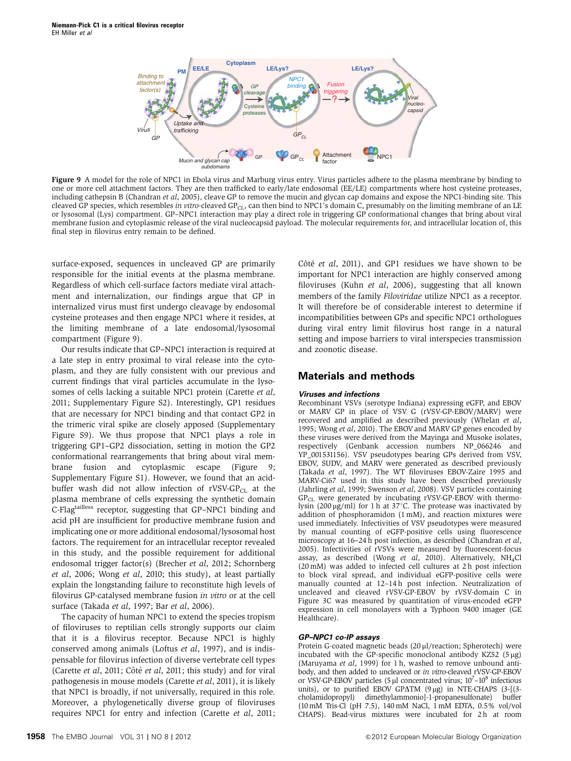

Figure 9 A model for the role of NPC1 in Ebola virus and Marburg virus entry. Virus particles adhere to the plasma membrane by binding to one or more cell attachment factors. They are then trafficked to early/late endosomal (EE/LE) compartments where host cysteine proteases, including cathepsin B (Chandran et al, 2005), cleave GP to remove the mucin and glycan cap domains and expose the NPC1-binding site. This cleaved GP species, which resembles in vitro-cleaved GP<sub>CL</sub>, can then bind to NPC1's domain C, presumably on the limiting membrane of an LE or lysosomal (Lys) compartment. GP–NPC1 interaction may play a direct role in triggering GP conformational changes that bring about viral membrane fusion and cytoplasmic release of the viral nucleocapsid payload. The molecular requirements for, and intracellular location of, this final step in filovirus entry remain to be defined.

surface-exposed, sequences in uncleaved GP are primarily responsible for the initial events at the plasma membrane. Regardless of which cell-surface factors mediate viral attachment and internalization, our findings argue that GP in internalized virus must first undergo cleavage by endosomal cysteine proteases and then engage NPC1 where it resides, at the limiting membrane of a late endosomal/lysosomal compartment (Figure 9).

Our results indicate that GP–NPC1 interaction is required at a late step in entry proximal to viral release into the cytoplasm, and they are fully consistent with our previous and current findings that viral particles accumulate in the lysosomes of cells lacking a suitable NPC1 protein (Carette et al, 2011; Supplementary Figure S2). Interestingly, GP1 residues that are necessary for NPC1 binding and that contact GP2 in the trimeric viral spike are closely apposed (Supplementary Figure S9). We thus propose that NPC1 plays a role in triggering GP1–GP2 dissociation, setting in motion the GP2 conformational rearrangements that bring about viral membrane fusion and cytoplasmic escape (Figure 9; Supplementary Figure S1). However, we found that an acidbuffer wash did not allow infection of  $rVSV-GP_{CL}$  at the plasma membrane of cells expressing the synthetic domain C-Flagtailless receptor, suggesting that GP–NPC1 binding and acid pH are insufficient for productive membrane fusion and implicating one or more additional endosomal/lysosomal host factors. The requirement for an intracellular receptor revealed in this study, and the possible requirement for additional endosomal trigger factor(s) (Brecher et al, 2012; Schornberg et al, 2006; Wong et al, 2010; this study), at least partially explain the longstanding failure to reconstitute high levels of filovirus GP-catalysed membrane fusion in vitro or at the cell surface (Takada et al, 1997; Bar et al, 2006).

The capacity of human NPC1 to extend the species tropism of filoviruses to reptilian cells strongly supports our claim that it is a filovirus receptor. Because NPC1 is highly conserved among animals (Loftus et al, 1997), and is indispensable for filovirus infection of diverse vertebrate cell types (Carette et al, 2011; Côté et al, 2011; this study) and for viral pathogenesis in mouse models (Carette et al, 2011), it is likely that NPC1 is broadly, if not universally, required in this role. Moreover, a phylogenetically diverse group of filoviruses requires NPC1 for entry and infection (Carette et al, 2011; Côté et al, 2011), and GP1 residues we have shown to be important for NPC1 interaction are highly conserved among filoviruses (Kuhn et al, 2006), suggesting that all known members of the family Filoviridae utilize NPC1 as a receptor. It will therefore be of considerable interest to determine if incompatibilities between GPs and specific NPC1 orthologues during viral entry limit filovirus host range in a natural setting and impose barriers to viral interspecies transmission and zoonotic disease.

## **Materials and methods**

#### **Viruses and infections**

Recombinant VSVs (serotype Indiana) expressing eGFP, and EBOV or MARV GP in place of VSV G (rVSV-GP-EBOV/MARV) were recovered and amplified as described previously (Whelan et al, 1995; Wong et al, 2010). The EBOV and MARV GP genes encoded by these viruses were derived from the Mayinga and Musoke isolates, respectively (Genbank accession numbers NP\_066246 and YP\_001531156). VSV pseudotypes bearing GPs derived from VSV, EBOV, SUDV, and MARV were generated as described previously (Takada et al, 1997). The WT filoviruses EBOV-Zaire 1995 and MARV-Ci67 used in this study have been described previously (Jahrling et al, 1999; Swenson et al, 2008). VSV particles containing  $GP_{CL}$  were generated by incubating rVSV-GP-EBOV with thermolysin (200  $\mu$ g/ml) for 1 h at 37°C. The protease was inactivated by addition of phosphoramidon (1 mM), and reaction mixtures were used immediately. Infectivities of VSV pseudotypes were measured by manual counting of eGFP-positive cells using fluorescence microscopy at 16-24 h post infection, as described (Chandran et al, 2005). Infectivities of rVSVs were measured by fluorescent-focus assay, as described (Wong et al, 2010). Alternatively,  $NH_4Cl$ (20 mM) was added to infected cell cultures at 2 h post infection to block viral spread, and individual eGFP-positive cells were manually counted at 12-14h post infection. Neutralization of uncleaved and cleaved rVSV-GP-EBOV by rVSV-domain C in Figure 3C was measured by quantitation of virus-encoded eGFP expression in cell monolayers with a Typhoon 9400 imager (GE Healthcare).

#### **GP–NPC1 co-IP assays**

Protein G-coated magnetic beads (20 µl/reaction; Spherotech) were incubated with the GP-specific monoclonal antibody KZ52  $(5 \mu g)$ (Maruyama et al, 1999) for 1 h, washed to remove unbound antibody, and then added to uncleaved or in vitro-cleaved rVSV-GP-EBOV or VSV-GP-EBOV particles (5  $\mu$ l concentrated virus; 10<sup>7</sup>-10<sup>8</sup> infectious units), or to purified EBOV GP $\Delta$ TM (9 µg) in NTE-CHAPS (3-[(3cholamidopropyl) dimethylammonio]-1-propanesulfonate) buffer (10mM Tris-Cl (pH 7.5), 140 mM NaCl, 1mM EDTA, 0.5% vol/vol CHAPS). Bead-virus mixtures were incubated for 2 h at room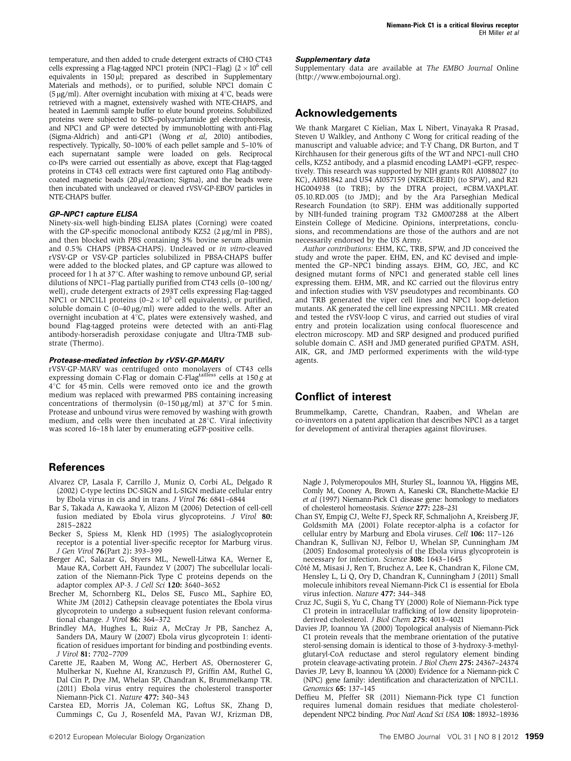temperature, and then added to crude detergent extracts of CHO CT43 cells expressing a Flag-tagged NPC1 protein (NPC1–Flag)  $(2 \times 10^6 \text{ cell})$ equivalents in 150 µl; prepared as described in Supplementary Materials and methods), or to purified, soluble NPC1 domain C (5  $\mu$ g/ml). After overnight incubation with mixing at 4<sup>°</sup>C, beads were retrieved with a magnet, extensively washed with NTE-CHAPS, and heated in Laemmli sample buffer to elute bound proteins. Solubilized proteins were subjected to SDS–polyacrylamide gel electrophoresis, and NPC1 and GP were detected by immunoblotting with anti-Flag (Sigma-Aldrich) and anti-GP1 (Wong et al, 2010) antibodies, respectively. Typically, 50–100% of each pellet sample and 5–10% of each supernatant sample were loaded on gels. Reciprocal co-IPs were carried out essentially as above, except that Flag-tagged proteins in CT43 cell extracts were first captured onto Flag antibodycoated magnetic beads  $(20 \mu l/reaction; Sigma)$ , and the beads were then incubated with uncleaved or cleaved rVSV-GP-EBOV particles in NTE-CHAPS buffer.

#### **GP–NPC1 capture ELISA**

Ninety-six-well high-binding ELISA plates (Corning) were coated with the GP-specific monoclonal antibody KZ52  $(2 \mu g/ml \text{ in } PBS)$ , and then blocked with PBS containing 3% bovine serum albumin and 0.5% CHAPS (PBSA-CHAPS). Uncleaved or in vitro-cleaved rVSV-GP or VSV-GP particles solubilized in PBSA-CHAPS buffer were added to the blocked plates, and GP capture was allowed to proceed for 1 h at  $37^{\circ}$ C. After washing to remove unbound GP, serial dilutions of NPC1–Flag partially purified from CT43 cells (0–100 ng/ well), crude detergent extracts of 293T cells expressing Flag-tagged NPC1 or NPC1L1 proteins  $(0-2 \times 10^5 \text{ cell equivalents})$ , or purified, soluble domain C  $(0-40 \mu g/ml)$  were added to the wells. After an overnight incubation at  $4^{\circ}$ C, plates were extensively washed, and bound Flag-tagged proteins were detected with an anti-Flag antibody-horseradish peroxidase conjugate and Ultra-TMB substrate (Thermo).

#### **Protease-mediated infection by rVSV-GP-MARV**

rVSV-GP-MARV was centrifuged onto monolayers of CT43 cells expressing domain C-Flag or domain C-Flagtailless cells at  $150 g$  at  $4^{\circ}$ C for  $45$  min. Cells were removed onto ice and the growth medium was replaced with prewarmed PBS containing increasing concentrations of thermolysin (0–150  $\mu$ g/ml) at 37°C for 5 min. Protease and unbound virus were removed by washing with growth medium, and cells were then incubated at 28°C. Viral infectivity was scored 16–18 h later by enumerating eGFP-positive cells.

### **References**

- Alvarez CP, Lasala F, Carrillo J, Muniz O, Corbi AL, Delgado R (2002) C-type lectins DC-SIGN and L-SIGN mediate cellular entry by Ebola virus in cis and in trans. J Virol 76: 6841–6844
- Bar S, Takada A, Kawaoka Y, Alizon M (2006) Detection of cell-cell fusion mediated by Ebola virus glycoproteins. J Virol 80: 2815–2822
- Becker S, Spiess M, Klenk HD (1995) The asialoglycoprotein receptor is a potential liver-specific receptor for Marburg virus. J Gen Virol 76(Part 2): 393–399
- Berger AC, Salazar G, Styers ML, Newell-Litwa KA, Werner E, Maue RA, Corbett AH, Faundez V (2007) The subcellular localization of the Niemann-Pick Type C proteins depends on the adaptor complex AP-3. J Cell Sci 120: 3640–3652
- Brecher M, Schornberg KL, Delos SE, Fusco ML, Saphire EO, White JM (2012) Cathepsin cleavage potentiates the Ebola virus glycoprotein to undergo a subsequent fusion relevant conformational change. J Virol 86: 364-372
- Brindley MA, Hughes L, Ruiz A, McCray Jr PB, Sanchez A, Sanders DA, Maury W (2007) Ebola virus glycoprotein 1: identification of residues important for binding and postbinding events. J Virol 81: 7702–7709
- Carette JE, Raaben M, Wong AC, Herbert AS, Obernosterer G, Mulherkar N, Kuehne AI, Kranzusch PJ, Griffin AM, Ruthel G, Dal Cin P, Dye JM, Whelan SP, Chandran K, Brummelkamp TR. (2011) Ebola virus entry requires the cholesterol transporter Niemann-Pick C1. Nature 477: 340–343
- Carstea ED, Morris JA, Coleman KG, Loftus SK, Zhang D, Cummings C, Gu J, Rosenfeld MA, Pavan WJ, Krizman DB,

#### **Supplementary data**

Supplementary data are available at The EMBO Journal Online (http://www.embojournal.org).

### **Acknowledgements**

We thank Margaret C Kielian, Max L Nibert, Vinayaka R Prasad, Steven U Walkley, and Anthony C Wong for critical reading of the manuscript and valuable advice; and T-Y Chang, DR Burton, and T Kirchhausen for their generous gifts of the WT and NPC1-null CHO cells, KZ52 antibody, and a plasmid encoding LAMP1-eGFP, respectively. This research was supported by NIH grants R01 AI088027 (to KC), AI081842 and U54 AI057159 (NERCE-BEID) (to SPW), and R21 HG004938 (to TRB); by the DTRA project, #CBM.VAXPLAT. 05.10.RD.005 (to JMD); and by the Ara Parseghian Medical Research Foundation (to SRP). EHM was additionally supported by NIH-funded training program T32 GM007288 at the Albert Einstein College of Medicine. Opinions, interpretations, conclusions, and recommendations are those of the authors and are not necessarily endorsed by the US Army.

Author contributions: EHM, KC, TRB, SPW, and JD conceived the study and wrote the paper. EHM, EN, and KC devised and implemented the GP–NPC1 binding assays. EHM, GO, JEC, and KC designed mutant forms of NPC1 and generated stable cell lines expressing them. EHM, MR, and KC carried out the filovirus entry and infection studies with VSV pseudotypes and recombinants. GO and TRB generated the viper cell lines and NPC1 loop-deletion mutants. AK generated the cell line expressing NPC1L1. MR created and tested the rVSV-loop C virus, and carried out studies of viral entry and protein localization using confocal fluorescence and electron microscopy. MD and SRP designed and produced purified soluble domain C. ASH and JMD generated purified GPATM. ASH, AIK, GR, and JMD performed experiments with the wild-type agents.

### **Conflict of interest**

Brummelkamp, Carette, Chandran, Raaben, and Whelan are co-inventors on a patent application that describes NPC1 as a target for development of antiviral therapies against filoviruses.

Nagle J, Polymeropoulos MH, Sturley SL, Ioannou YA, Higgins ME, Comly M, Cooney A, Brown A, Kaneski CR, Blanchette-Mackie EJ et al (1997) Niemann-Pick C1 disease gene: homology to mediators of cholesterol homeostasis. Science 277: 228–231

- Chan SY, Empig CJ, Welte FJ, Speck RF, Schmaljohn A, Kreisberg JF, Goldsmith MA (2001) Folate receptor-alpha is a cofactor for cellular entry by Marburg and Ebola viruses. Cell 106: 117–126
- Chandran K, Sullivan NJ, Felbor U, Whelan SP, Cunningham JM (2005) Endosomal proteolysis of the Ebola virus glycoprotein is necessary for infection. Science 308: 1643–1645
- Côté M, Misasi J, Ren T, Bruchez A, Lee K, Chandran K, Filone CM, Hensley L, Li Q, Ory D, Chandran K, Cunningham J (2011) Small molecule inhibitors reveal Niemann-Pick C1 is essential for Ebola virus infection. Nature 477: 344–348
- Cruz JC, Sugii S, Yu C, Chang TY (2000) Role of Niemann-Pick type C1 protein in intracellular trafficking of low density lipoproteinderived cholesterol. J Biol Chem 275: 4013–4021
- Davies JP, Ioannou YA (2000) Topological analysis of Niemann-Pick C1 protein reveals that the membrane orientation of the putative sterol-sensing domain is identical to those of 3-hydroxy-3-methylglutaryl-CoA reductase and sterol regulatory element binding protein cleavage-activating protein. J Biol Chem 275: 24367–24374
- Davies JP, Levy B, Ioannou YA (2000) Evidence for a Niemann-pick C (NPC) gene family: identification and characterization of NPC1L1. Genomics 65: 137–145
- Deffieu M, Pfeffer SR (2011) Niemann-Pick type C1 function requires lumenal domain residues that mediate cholesteroldependent NPC2 binding. Proc Natl Acad Sci USA 108: 18932–18936